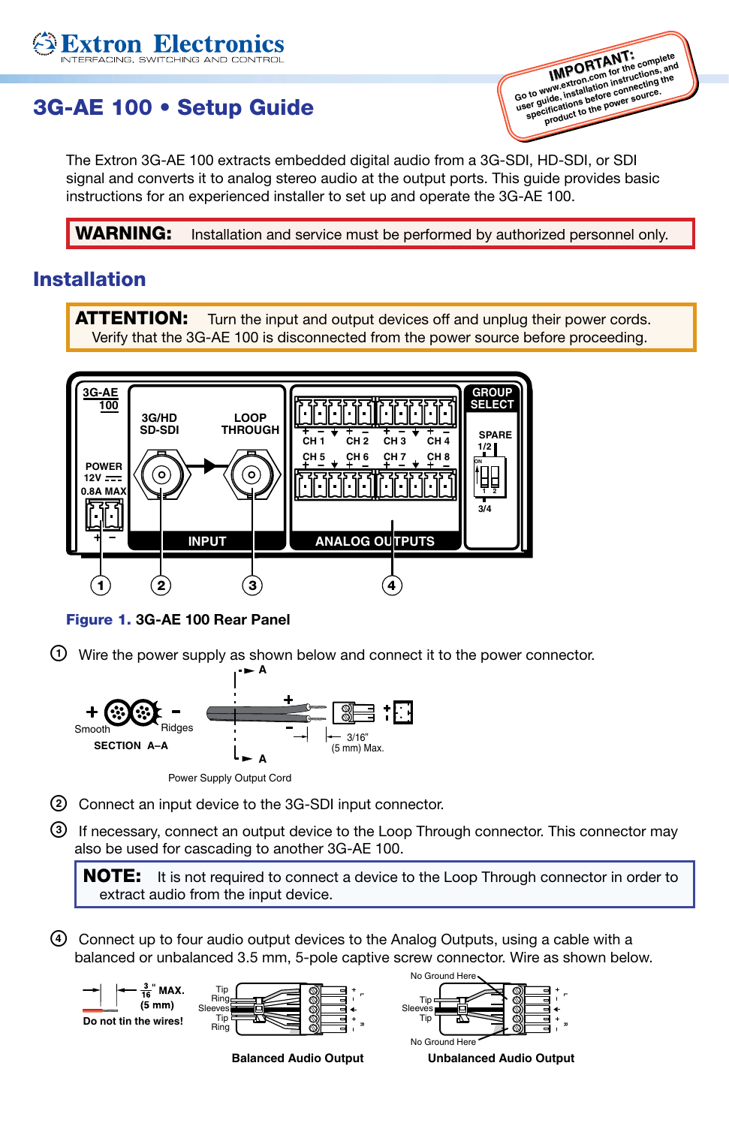# 3G-AE 100 • Setup Guide

**xtron Electron** 

**IMPORTANT: Go to www.extron.com for the complete user guide, installation instructions, and specifications before connecting the product to the power sour-**<br>product to the power sour-

The Extron 3G-AE 100 extracts embedded digital audio from a 3G-SDI, HD-SDI, or SDI signal and converts it to analog stereo audio at the output ports. This guide provides basic instructions for an experienced installer to set up and operate the 3G-AE 100.

**WARNING:** Installation and service must be performed by authorized personnel only.

## Installation

**ATTENTION:** Turn the input and output devices off and unplug their power cords. Verify that the 3G-AE 100 is disconnected from the power source before proceeding.



Figure 1. 3G-AE 100 Rear Panel

 $\odot$  Wire the power supply as shown below and connect it to the power connector.



**A**

Power Supply Output Cord

b Connect an input device to the 3G-SDI input connector.

c If necessary, connect an output device to the Loop Through connector. This connector may also be used for cascading to another 3G-AE 100.

**NOTE:** It is not required to connect a device to the Loop Through connector in order to extract audio from the input device.

d Connect up to four audio output devices to the Analog Outputs, using a cable with a balanced or unbalanced 3.5 mm, 5-pole captive screw connector. Wire as shown below.

 $\frac{3}{16}$  MAX.  $(5 \text{ mm})$ **Do not tin the wires!**



**Balanced Audio Output**



**Unbalanced Audio Output**